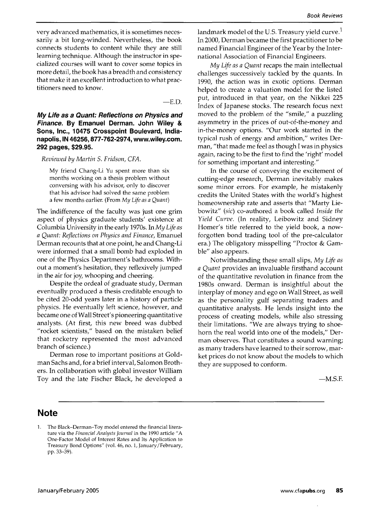very advanced mathematics, it is sometimes necessarily a bit long-winded. Nevertheless, the book connects students to content while they are still learning technique. Although the instructor in specialized courses will want to cover some topics in more detail, the book has a breadth and consistency that make it an excellent introduction to what practitioners need to know.

—E.D.

My Life as a Quant: Reflections on Physics and Finance. By Emanuel Derman. John Wiley & Sons, Inc., 10475 Crosspoint Boulevard, Indianapolis, IN 46256,877-762-2974, www.wiley.com. 292 pages, \$29.95.

*Reviewed by Martin S. Fridson, CFA.*

My friend Chang-Li Yu spent more than six months working on a thesis problem without conversing with his advisor, only to discover that his advisor had solved the same problem a few months earlier. (From *My Life as a Quant)*

The indifference of the faculty was just one grim aspect of physics graduate students' existence at Columbia University in the early 1970s. In My *Life as a Quant: Reflections on Physics and Finance,* Emanuel Derman recounts that at one point, he and Chang-Li were informed that a small bomb had exploded in one of the Physics Department's bathrooms. Without a moment's hesitation, they reflexively jumped in the air for joy, whooping and cheering.

Despite the ordeal of graduate study, Derman eventually produced a thesis creditable enough to be cited 20-odd years later in a history of particle physics. He eventually left science, however, and became one of Wall Street's pioneering quantitative analysts. (At first, this new breed was dubbed "rocket scientists," based on the mistaken belief that rocketry represented the most advanced branch of science.)

Derman rose to important positions at Goldman Sachs and, for a brief interval, Salomon Brothers. In collaboration with global investor William Toy and the late Fischer Black, he developed a

landmark model of the U.S. Treasury yield curve.<sup>1</sup> In 2000, Derman became the first practitioner to be named Financial Engineer of the Year by the International Association of Financial Engineers.

*My Life as a Quant* recaps the main intellectual challenges successively tackled by the quants. In 1990, the action was in exotic options. Derman helped to create a valuation model for the listed put, introduced in that year, on the Nikkei 225 Index of Japanese stocks. The research focus next moved to the problem of the "smile," a puzzling asymmetry in the prices of out-of-the-money and in-the-money options. "Our work started in the typical rush of energy and ambition," writes Derman, "that made me feel as though I was in physics again, racing to be the first to find the 'right' model for something important and interesting."

In the course of conveying the excitement of cutting-edge research, Derman inevitably makes some minor errors. For example, he mistakenly credits the United States with the world's highest homeownership rate and asserts that "Marty Liebowitz" *{sic)* co-authored a book called *Inside the Yield Curve.* (In reality, Leibowitz and Sidney Homer's title referred to the yield book, a nowforgotten bond trading tool of the pre-calculator era.) The obligatory misspelling "Proctor & Gamble" also appears.

Notwithstanding these small slips. *My Life as a Quant* provides an invaluable firsthand account of the quantitative revolution in finance from the 1980s onward. Derman is insightful about the interplay of money and ego on Wall Street, as well as the personality gulf separating traders and quantitative analysts. He lends insight into the process of creating models, while also stressing their limitations. "We are always trying to shoehorn the real world into one of the models," Derman observes. That constitutes a sound warning; as many traders have learned to their sorrow, market prices do not know about the models to which they are supposed to conform.

 $-M.S.F.$ 

## **Note**

The Black-Derman-Toy model entered the financial litera- $1<sup>1</sup>$ ture via the *Finaneial Analysts journal* in the 1990 article "A One-Factor Model of Interest Rates and Its Application to Treasury Bond Options" (vol. 46, no. 1, January/February, pp. 33-39).